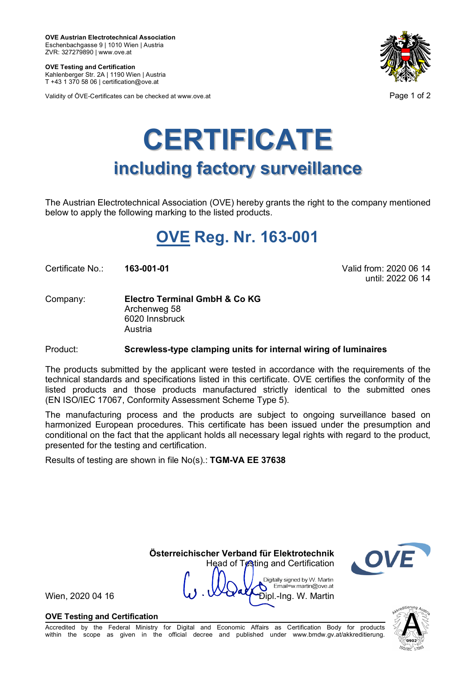**OVE Austrian Electrotechnical Association** Eschenbachgasse 9 | 1010 Wien | Austria ZVR: 327279890 | www.ove.at

**OVE Testing and Certification** Kahlenberger Str. 2A | 1190 Wien | Austria T +43 1 370 58 06 | certification@ove.at

Validity of ÖVE-Certificates can be checked at www.ove.at **Page 1 of 2** Page 1 of 2



# **CERTIFICATE including factory surveillance**

The Austrian Electrotechnical Association (OVE) hereby grants the right to the company mentioned below to apply the following marking to the listed products.

## **OVE Reg. Nr. 163-001**

Certificate No.: **163-001-01** Valid from: 2020 06 14

until: 2022 06 14

Company: **Electro Terminal GmbH & Co KG** Archenweg 58 6020 Innsbruck Austria

Product: **Screwless-type clamping units for internal wiring of luminaires**

The products submitted by the applicant were tested in accordance with the requirements of the technical standards and specifications listed in this certificate. OVE certifies the conformity of the listed products and those products manufactured strictly identical to the submitted ones (EN ISO/IEC 17067, Conformity Assessment Scheme Type 5).

The manufacturing process and the products are subject to ongoing surveillance based on harmonized European procedures. This certificate has been issued under the presumption and conditional on the fact that the applicant holds all necessary legal rights with regard to the product, presented for the testing and certification.

Results of testing are shown in file No(s).: **TGM-VA EE 37638**

 **Österreichischer Verband für Elektrotechnik** Head of Testing and Certification

> Digitally signed by W. Martin Email=w.martin@ove.at



Wien, 2020 04 16  $\vee$   $\vee$   $\vee$   $\vee$   $\vee$   $\vee$   $\vee$   $\vee$   $\vee$   $\vee$   $\vee$   $\vee$   $\vee$   $\vee$   $\vee$   $\vee$   $\vee$   $\vee$   $\vee$   $\vee$   $\vee$   $\vee$   $\vee$   $\vee$   $\vee$   $\vee$   $\vee$   $\vee$   $\vee$   $\vee$   $\vee$   $\vee$   $\vee$   $\vee$ 

**OVE Testing and Certification**

Accredited by the Federal Ministry for Digital and Economic Affairs as Certification Body for products within the scope as given in the official decree and published under www.bmdw.gv.at/akkreditierung.